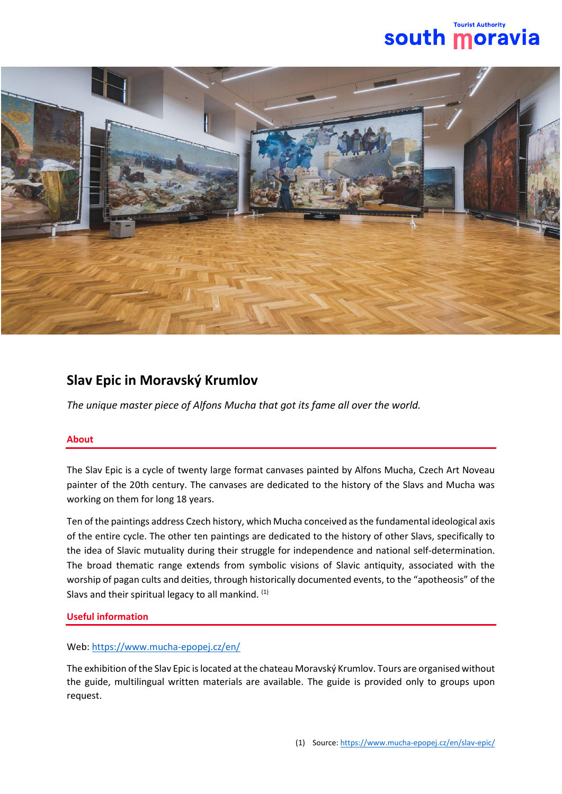



## **Slav Epic in Moravský Krumlov**

*The unique master piece of Alfons Mucha that got its fame all over the world.*

## **About**

The Slav Epic is a cycle of twenty large format canvases painted by Alfons Mucha, Czech Art Noveau painter of the 20th century. The canvases are dedicated to the history of the Slavs and Mucha was working on them for long 18 years.

Ten of the paintings address Czech history, which Mucha conceived as the fundamental ideological axis of the entire cycle. The other ten paintings are dedicated to the history of other Slavs, specifically to the idea of Slavic mutuality during their struggle for independence and national self-determination. The broad thematic range extends from symbolic visions of Slavic antiquity, associated with the worship of pagan cults and deities, through historically documented events, to the "apotheosis" of the Slavs and their spiritual legacy to all mankind. (1)

## **Useful information**

## Web:<https://www.mucha-epopej.cz/en/>

The exhibition of the Slav Epic is located at the chateau Moravský Krumlov. Tours are organised without the guide, multilingual written materials are available. The guide is provided only to groups upon request.